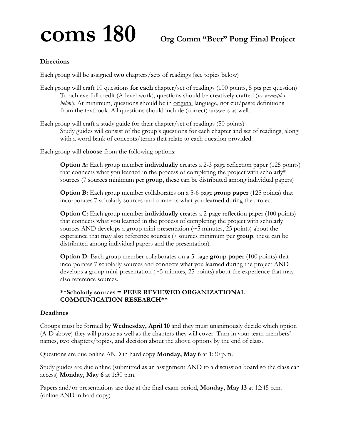# **coms 180 Org Comm "Beer" Pong Final Project**

#### **Directions**

Each group will be assigned **two** chapters/sets of readings (see topics below)

- Each group will craft 10 questions **for each** chapter/set of readings (100 points, 5 pts per question) To achieve full credit (A-level work), questions should be creatively crafted (*see examples below*). At minimum, questions should be in <u>original</u> language, not cut/paste definitions from the textbook. All questions should include (correct) answers as well.
- Each group will craft a study guide for their chapter/set of readings (50 points) Study guides will consist of the group's questions for each chapter and set of readings, along with a word bank of concepts/terms that relate to each question provided.

Each group will **choose** from the following options:

**Option A:** Each group member **individually** creates a 2-3 page reflection paper (125 points) that connects what you learned in the process of completing the project with scholarly\* sources (7 sources minimum per **group**, these can be distributed among individual papers)

**Option B:** Each group member collaborates on a 5-6 page **group paper** (125 points) that incorporates 7 scholarly sources and connects what you learned during the project.

**Option C:** Each group member **individually** creates a 2-page reflection paper (100 points) that connects what you learned in the process of completing the project with scholarly sources AND develops a group mini-presentation  $(\sim 5$  minutes, 25 points) about the experience that may also reference sources (7 sources minimum per **group**, these can be distributed among individual papers and the presentation).

**Option D:** Each group member collaborates on a 5-page **group paper** (100 points) that incorporates 7 scholarly sources and connects what you learned during the project AND develops a group mini-presentation  $($   $\sim$  5 minutes, 25 points) about the experience that may also reference sources.

#### **\*\*Scholarly sources = PEER REVIEWED ORGANIZATIONAL COMMUNICATION RESEARCH\*\***

#### **Deadlines**

Groups must be formed by **Wednesday, April 10** and they must unanimously decide which option (A-D above) they will pursue as well as the chapters they will cover. Turn in your team members' names, two chapters/topics, and decision about the above options by the end of class.

Questions are due online AND in hard copy **Monday, May 6** at 1:30 p.m.

Study guides are due online (submitted as an assignment AND to a discussion board so the class can access) **Monday, May 6** at 1:30 p.m.

Papers and/or presentations are due at the final exam period, **Monday, May 13** at 12:45 p.m. (online AND in hard copy)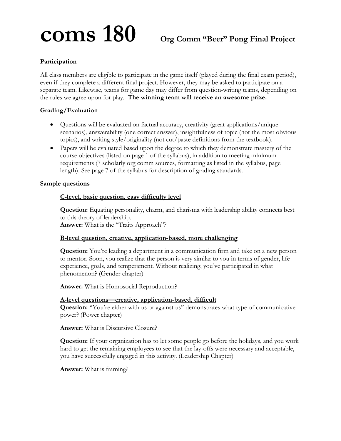# **coms 180 Org Comm "Beer" Pong Final Project**

### **Participation**

All class members are eligible to participate in the game itself (played during the final exam period), even if they complete a different final project. However, they may be asked to participate on a separate team. Likewise, teams for game day may differ from question-writing teams, depending on the rules we agree upon for play. **The winning team will receive an awesome prize.** 

#### **Grading/Evaluation**

- Questions will be evaluated on factual accuracy, creativity (great applications/unique scenarios), answerability (one correct answer), insightfulness of topic (not the most obvious topics), and writing style/originality (not cut/paste definitions from the textbook).
- Papers will be evaluated based upon the degree to which they demonstrate mastery of the course objectives (listed on page 1 of the syllabus), in addition to meeting minimum requirements (7 scholarly org comm sources, formatting as listed in the syllabus, page length). See page 7 of the syllabus for description of grading standards.

#### **Sample questions**

#### **C-level, basic question, easy difficulty level**

**Question:** Equating personality, charm, and charisma with leadership ability connects best to this theory of leadership.

**Answer:** What is the "Traits Approach"?

#### **B-level question, creative, application-based, more challenging**

**Question:** You're leading a department in a communication firm and take on a new person to mentor. Soon, you realize that the person is very similar to you in terms of gender, life experience, goals, and temperament. Without realizing, you've participated in what phenomenon? (Gender chapter)

**Answer:** What is Homosocial Reproduction?

#### **A-level questions—creative, application-based, difficult**

**Question:** "You're either with us or against us" demonstrates what type of communicative power? (Power chapter)

**Answer:** What is Discursive Closure?

**Question:** If your organization has to let some people go before the holidays, and you work hard to get the remaining employees to see that the lay-offs were necessary and acceptable, you have successfully engaged in this activity. (Leadership Chapter)

**Answer:** What is framing?